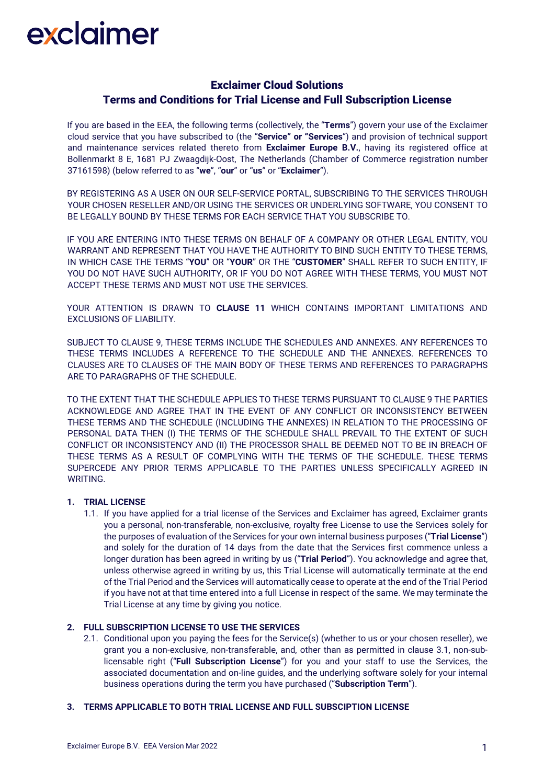# Exclaimer Cloud Solutions Terms and Conditions for Trial License and Full Subscription License

If you are based in the EEA, the following terms (collectively, the "**Terms**") govern your use of the Exclaimer cloud service that you have subscribed to (the "**Service" or "Services**") and provision of technical support and maintenance services related thereto from **Exclaimer Europe B.V.**, having its registered office at Bollenmarkt 8 E, 1681 PJ Zwaagdijk-Oost, The Netherlands (Chamber of Commerce registration number 37161598) (below referred to as "**we**", "**our**" or "**us**" or "**Exclaimer**").

BY REGISTERING AS A USER ON OUR SELF-SERVICE PORTAL, SUBSCRIBING TO THE SERVICES THROUGH YOUR CHOSEN RESELLER AND/OR USING THE SERVICES OR UNDERLYING SOFTWARE, YOU CONSENT TO BE LEGALLY BOUND BY THESE TERMS FOR EACH SERVICE THAT YOU SUBSCRIBE TO.

IF YOU ARE ENTERING INTO THESE TERMS ON BEHALF OF A COMPANY OR OTHER LEGAL ENTITY, YOU WARRANT AND REPRESENT THAT YOU HAVE THE AUTHORITY TO BIND SUCH ENTITY TO THESE TERMS, IN WHICH CASE THE TERMS "**YOU**" OR "**YOUR**" OR THE "**CUSTOMER**" SHALL REFER TO SUCH ENTITY, IF YOU DO NOT HAVE SUCH AUTHORITY, OR IF YOU DO NOT AGREE WITH THESE TERMS, YOU MUST NOT ACCEPT THESE TERMS AND MUST NOT USE THE SERVICES.

YOUR ATTENTION IS DRAWN TO **CLAUSE 11** WHICH CONTAINS IMPORTANT LIMITATIONS AND EXCLUSIONS OF LIABILITY.

SUBJECT TO CLAUSE 9, THESE TERMS INCLUDE THE SCHEDULES AND ANNEXES. ANY REFERENCES TO THESE TERMS INCLUDES A REFERENCE TO THE SCHEDULE AND THE ANNEXES. REFERENCES TO CLAUSES ARE TO CLAUSES OF THE MAIN BODY OF THESE TERMS AND REFERENCES TO PARAGRAPHS ARE TO PARAGRAPHS OF THE SCHEDULE.

TO THE EXTENT THAT THE SCHEDULE APPLIES TO THESE TERMS PURSUANT TO CLAUSE 9 THE PARTIES ACKNOWLEDGE AND AGREE THAT IN THE EVENT OF ANY CONFLICT OR INCONSISTENCY BETWEEN THESE TERMS AND THE SCHEDULE (INCLUDING THE ANNEXES) IN RELATION TO THE PROCESSING OF PERSONAL DATA THEN (I) THE TERMS OF THE SCHEDULE SHALL PREVAIL TO THE EXTENT OF SUCH CONFLICT OR INCONSISTENCY AND (II) THE PROCESSOR SHALL BE DEEMED NOT TO BE IN BREACH OF THESE TERMS AS A RESULT OF COMPLYING WITH THE TERMS OF THE SCHEDULE. THESE TERMS SUPERCEDE ANY PRIOR TERMS APPLICABLE TO THE PARTIES UNLESS SPECIFICALLY AGREED IN WRITING.

### **1. TRIAL LICENSE**

1.1. If you have applied for a trial license of the Services and Exclaimer has agreed, Exclaimer grants you a personal, non-transferable, non-exclusive, royalty free License to use the Services solely for the purposes of evaluation of the Services for your own internal business purposes ("**Trial License**") and solely for the duration of 14 days from the date that the Services first commence unless a longer duration has been agreed in writing by us ("**Trial Period**"). You acknowledge and agree that, unless otherwise agreed in writing by us, this Trial License will automatically terminate at the end of the Trial Period and the Services will automatically cease to operate at the end of the Trial Period if you have not at that time entered into a full License in respect of the same. We may terminate the Trial License at any time by giving you notice.

### **2. FULL SUBSCRIPTION LICENSE TO USE THE SERVICES**

2.1. Conditional upon you paying the fees for the Service(s) (whether to us or your chosen reseller), we grant you a non-exclusive, non-transferable, and, other than as permitted in clause 3.1, non-sublicensable right ("**Full Subscription License**") for you and your staff to use the Services, the associated documentation and on-line guides, and the underlying software solely for your internal business operations during the term you have purchased ("**Subscription Term**").

### **3. TERMS APPLICABLE TO BOTH TRIAL LICENSE AND FULL SUBSCIPTION LICENSE**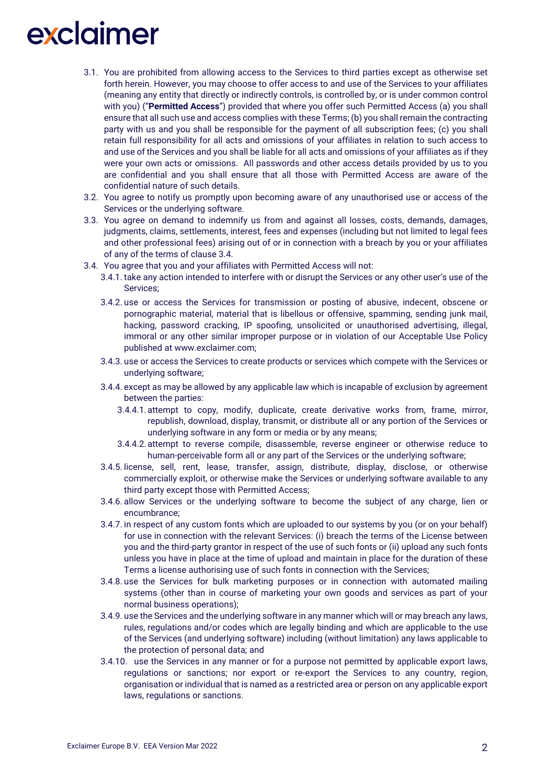- 3.1. You are prohibited from allowing access to the Services to third parties except as otherwise set forth herein. However, you may choose to offer access to and use of the Services to your affiliates (meaning any entity that directly or indirectly controls, is controlled by, or is under common control with you) ("**Permitted Access**") provided that where you offer such Permitted Access (a) you shall ensure that all such use and access complies with these Terms; (b) you shall remain the contracting party with us and you shall be responsible for the payment of all subscription fees; (c) you shall retain full responsibility for all acts and omissions of your affiliates in relation to such access to and use of the Services and you shall be liable for all acts and omissions of your affiliates as if they were your own acts or omissions. All passwords and other access details provided by us to you are confidential and you shall ensure that all those with Permitted Access are aware of the confidential nature of such details.
- 3.2. You agree to notify us promptly upon becoming aware of any unauthorised use or access of the Services or the underlying software.
- 3.3. You agree on demand to indemnify us from and against all losses, costs, demands, damages, judgments, claims, settlements, interest, fees and expenses (including but not limited to legal fees and other professional fees) arising out of or in connection with a breach by you or your affiliates of any of the terms of clause 3.4.
- 3.4. You agree that you and your affiliates with Permitted Access will not:
	- 3.4.1. take any action intended to interfere with or disrupt the Services or any other user's use of the Services;
	- 3.4.2. use or access the Services for transmission or posting of abusive, indecent, obscene or pornographic material, material that is libellous or offensive, spamming, sending junk mail, hacking, password cracking, IP spoofing, unsolicited or unauthorised advertising, illegal, immoral or any other similar improper purpose or in violation of our Acceptable Use Policy published at www.exclaimer.com;
	- 3.4.3. use or access the Services to create products or services which compete with the Services or underlying software;
	- 3.4.4. except as may be allowed by any applicable law which is incapable of exclusion by agreement between the parties:
		- 3.4.4.1.attempt to copy, modify, duplicate, create derivative works from, frame, mirror, republish, download, display, transmit, or distribute all or any portion of the Services or underlying software in any form or media or by any means;
		- 3.4.4.2.attempt to reverse compile, disassemble, reverse engineer or otherwise reduce to human-perceivable form all or any part of the Services or the underlying software;
	- 3.4.5. license, sell, rent, lease, transfer, assign, distribute, display, disclose, or otherwise commercially exploit, or otherwise make the Services or underlying software available to any third party except those with Permitted Access;
	- 3.4.6. allow Services or the underlying software to become the subject of any charge, lien or encumbrance;
	- 3.4.7. in respect of any custom fonts which are uploaded to our systems by you (or on your behalf) for use in connection with the relevant Services: (i) breach the terms of the License between you and the third-party grantor in respect of the use of such fonts or (ii) upload any such fonts unless you have in place at the time of upload and maintain in place for the duration of these Terms a license authorising use of such fonts in connection with the Services;
	- 3.4.8. use the Services for bulk marketing purposes or in connection with automated mailing systems (other than in course of marketing your own goods and services as part of your normal business operations);
	- 3.4.9. use the Services and the underlying software in any manner which will or may breach any laws, rules, regulations and/or codes which are legally binding and which are applicable to the use of the Services (and underlying software) including (without limitation) any laws applicable to the protection of personal data; and
	- 3.4.10. use the Services in any manner or for a purpose not permitted by applicable export laws, regulations or sanctions; nor export or re-export the Services to any country, region, organisation or individual that is named as a restricted area or person on any applicable export laws, regulations or sanctions.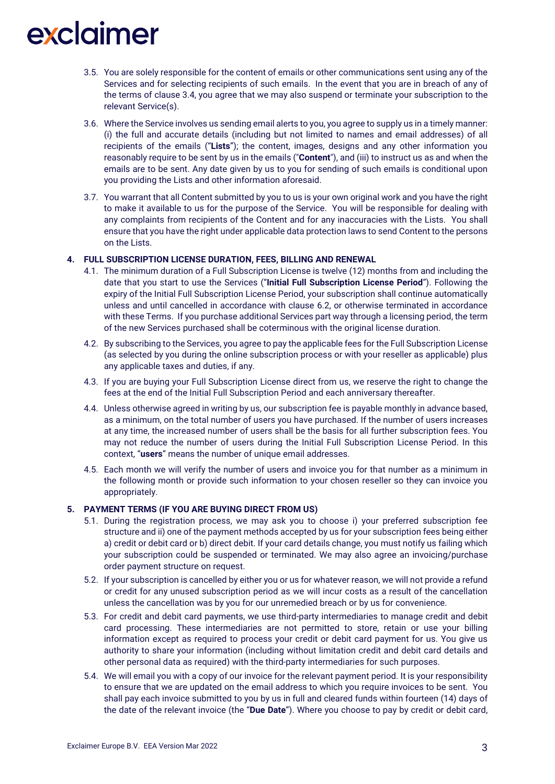- 3.5. You are solely responsible for the content of emails or other communications sent using any of the Services and for selecting recipients of such emails. In the event that you are in breach of any of the terms of clause 3.4, you agree that we may also suspend or terminate your subscription to the relevant Service(s).
- 3.6. Where the Service involves us sending email alerts to you, you agree to supply us in a timely manner: (i) the full and accurate details (including but not limited to names and email addresses) of all recipients of the emails ("**Lists**"); the content, images, designs and any other information you reasonably require to be sent by us in the emails ("**Content**"), and (iii) to instruct us as and when the emails are to be sent. Any date given by us to you for sending of such emails is conditional upon you providing the Lists and other information aforesaid.
- 3.7. You warrant that all Content submitted by you to us is your own original work and you have the right to make it available to us for the purpose of the Service. You will be responsible for dealing with any complaints from recipients of the Content and for any inaccuracies with the Lists. You shall ensure that you have the right under applicable data protection laws to send Content to the persons on the Lists.

### **4. FULL SUBSCRIPTION LICENSE DURATION, FEES, BILLING AND RENEWAL**

- 4.1. The minimum duration of a Full Subscription License is twelve (12) months from and including the date that you start to use the Services ("**Initial Full Subscription License Period**"). Following the expiry of the Initial Full Subscription License Period, your subscription shall continue automatically unless and until cancelled in accordance with clause 6.2, or otherwise terminated in accordance with these Terms. If you purchase additional Services part way through a licensing period, the term of the new Services purchased shall be coterminous with the original license duration.
- 4.2. By subscribing to the Services, you agree to pay the applicable fees for the Full Subscription License (as selected by you during the online subscription process or with your reseller as applicable) plus any applicable taxes and duties, if any.
- 4.3. If you are buying your Full Subscription License direct from us, we reserve the right to change the fees at the end of the Initial Full Subscription Period and each anniversary thereafter.
- 4.4. Unless otherwise agreed in writing by us, our subscription fee is payable monthly in advance based, as a minimum, on the total number of users you have purchased. If the number of users increases at any time, the increased number of users shall be the basis for all further subscription fees. You may not reduce the number of users during the Initial Full Subscription License Period. In this context, "**users**" means the number of unique email addresses.
- 4.5. Each month we will verify the number of users and invoice you for that number as a minimum in the following month or provide such information to your chosen reseller so they can invoice you appropriately.

### **5. PAYMENT TERMS (IF YOU ARE BUYING DIRECT FROM US)**

- 5.1. During the registration process, we may ask you to choose i) your preferred subscription fee structure and ii) one of the payment methods accepted by us for your subscription fees being either a) credit or debit card or b) direct debit. If your card details change, you must notify us failing which your subscription could be suspended or terminated. We may also agree an invoicing/purchase order payment structure on request.
- 5.2. If your subscription is cancelled by either you or us for whatever reason, we will not provide a refund or credit for any unused subscription period as we will incur costs as a result of the cancellation unless the cancellation was by you for our unremedied breach or by us for convenience.
- 5.3. For credit and debit card payments, we use third-party intermediaries to manage credit and debit card processing. These intermediaries are not permitted to store, retain or use your billing information except as required to process your credit or debit card payment for us. You give us authority to share your information (including without limitation credit and debit card details and other personal data as required) with the third-party intermediaries for such purposes.
- 5.4. We will email you with a copy of our invoice for the relevant payment period. It is your responsibility to ensure that we are updated on the email address to which you require invoices to be sent. You shall pay each invoice submitted to you by us in full and cleared funds within fourteen (14) days of the date of the relevant invoice (the "**Due Date**"). Where you choose to pay by credit or debit card,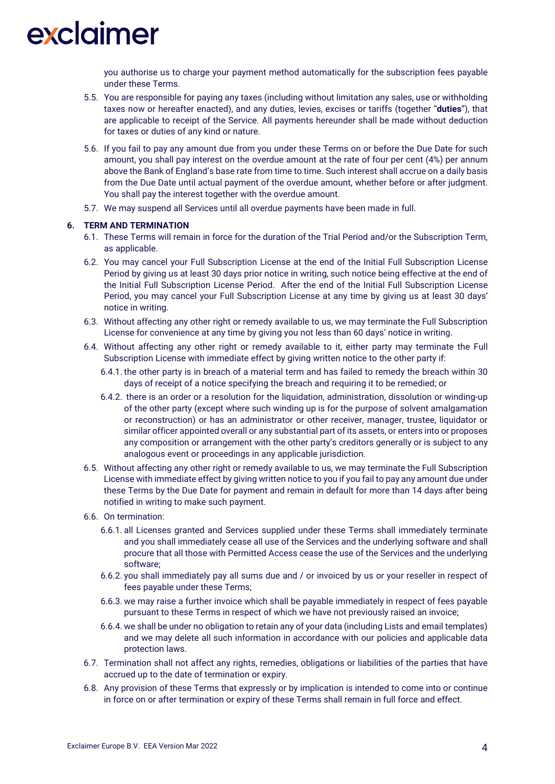you authorise us to charge your payment method automatically for the subscription fees payable under these Terms.

- 5.5. You are responsible for paying any taxes (including without limitation any sales, use or withholding taxes now or hereafter enacted), and any duties, levies, excises or tariffs (together "**duties**"), that are applicable to receipt of the Service. All payments hereunder shall be made without deduction for taxes or duties of any kind or nature.
- 5.6. If you fail to pay any amount due from you under these Terms on or before the Due Date for such amount, you shall pay interest on the overdue amount at the rate of four per cent (4%) per annum above the Bank of England's base rate from time to time. Such interest shall accrue on a daily basis from the Due Date until actual payment of the overdue amount, whether before or after judgment. You shall pay the interest together with the overdue amount.
- 5.7. We may suspend all Services until all overdue payments have been made in full.

### **6. TERM AND TERMINATION**

- 6.1. These Terms will remain in force for the duration of the Trial Period and/or the Subscription Term, as applicable.
- 6.2. You may cancel your Full Subscription License at the end of the Initial Full Subscription License Period by giving us at least 30 days prior notice in writing, such notice being effective at the end of the Initial Full Subscription License Period. After the end of the Initial Full Subscription License Period, you may cancel your Full Subscription License at any time by giving us at least 30 days' notice in writing.
- 6.3. Without affecting any other right or remedy available to us, we may terminate the Full Subscription License for convenience at any time by giving you not less than 60 days' notice in writing.
- 6.4. Without affecting any other right or remedy available to it, either party may terminate the Full Subscription License with immediate effect by giving written notice to the other party if:
	- 6.4.1. the other party is in breach of a material term and has failed to remedy the breach within 30 days of receipt of a notice specifying the breach and requiring it to be remedied; or
	- 6.4.2. there is an order or a resolution for the liquidation, administration, dissolution or winding-up of the other party (except where such winding up is for the purpose of solvent amalgamation or reconstruction) or has an administrator or other receiver, manager, trustee, liquidator or similar officer appointed overall or any substantial part of its assets, or enters into or proposes any composition or arrangement with the other party's creditors generally or is subject to any analogous event or proceedings in any applicable jurisdiction.
- 6.5. Without affecting any other right or remedy available to us, we may terminate the Full Subscription License with immediate effect by giving written notice to you if you fail to pay any amount due under these Terms by the Due Date for payment and remain in default for more than 14 days after being notified in writing to make such payment.
- 6.6. On termination:
	- 6.6.1. all Licenses granted and Services supplied under these Terms shall immediately terminate and you shall immediately cease all use of the Services and the underlying software and shall procure that all those with Permitted Access cease the use of the Services and the underlying software;
	- 6.6.2. you shall immediately pay all sums due and / or invoiced by us or your reseller in respect of fees payable under these Terms;
	- 6.6.3. we may raise a further invoice which shall be payable immediately in respect of fees payable pursuant to these Terms in respect of which we have not previously raised an invoice;
	- 6.6.4. we shall be under no obligation to retain any of your data (including Lists and email templates) and we may delete all such information in accordance with our policies and applicable data protection laws.
- 6.7. Termination shall not affect any rights, remedies, obligations or liabilities of the parties that have accrued up to the date of termination or expiry.
- 6.8. Any provision of these Terms that expressly or by implication is intended to come into or continue in force on or after termination or expiry of these Terms shall remain in full force and effect.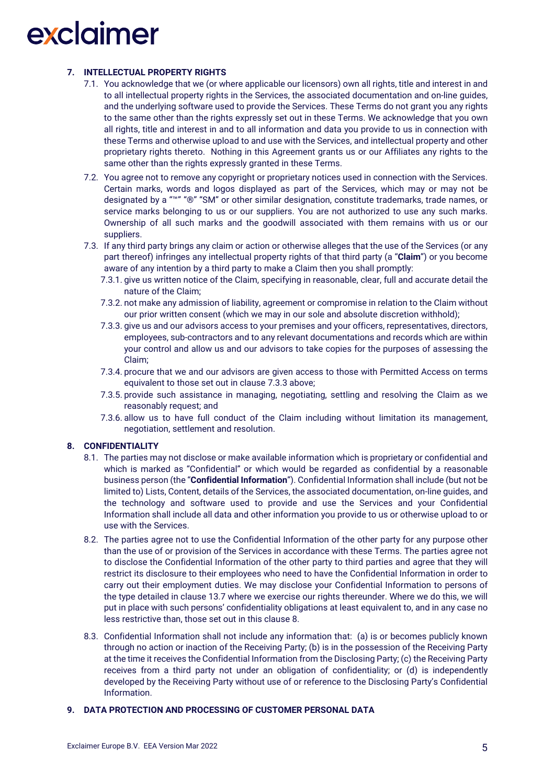## **7. INTELLECTUAL PROPERTY RIGHTS**

- 7.1. You acknowledge that we (or where applicable our licensors) own all rights, title and interest in and to all intellectual property rights in the Services, the associated documentation and on-line guides, and the underlying software used to provide the Services. These Terms do not grant you any rights to the same other than the rights expressly set out in these Terms. We acknowledge that you own all rights, title and interest in and to all information and data you provide to us in connection with these Terms and otherwise upload to and use with the Services, and intellectual property and other proprietary rights thereto. Nothing in this Agreement grants us or our Affiliates any rights to the same other than the rights expressly granted in these Terms.
- 7.2. You agree not to remove any copyright or proprietary notices used in connection with the Services. Certain marks, words and logos displayed as part of the Services, which may or may not be designated by a "™" "®" "SM" or other similar designation, constitute trademarks, trade names, or service marks belonging to us or our suppliers. You are not authorized to use any such marks. Ownership of all such marks and the goodwill associated with them remains with us or our suppliers.
- 7.3. If any third party brings any claim or action or otherwise alleges that the use of the Services (or any part thereof) infringes any intellectual property rights of that third party (a "**Claim**") or you become aware of any intention by a third party to make a Claim then you shall promptly:
	- 7.3.1. give us written notice of the Claim, specifying in reasonable, clear, full and accurate detail the nature of the Claim;
	- 7.3.2. not make any admission of liability, agreement or compromise in relation to the Claim without our prior written consent (which we may in our sole and absolute discretion withhold);
	- 7.3.3. give us and our advisors access to your premises and your officers, representatives, directors, employees, sub-contractors and to any relevant documentations and records which are within your control and allow us and our advisors to take copies for the purposes of assessing the Claim;
	- 7.3.4. procure that we and our advisors are given access to those with Permitted Access on terms equivalent to those set out in clause 7.3.3 above;
	- 7.3.5. provide such assistance in managing, negotiating, settling and resolving the Claim as we reasonably request; and
	- 7.3.6. allow us to have full conduct of the Claim including without limitation its management, negotiation, settlement and resolution.

## **8. CONFIDENTIALITY**

- 8.1. The parties may not disclose or make available information which is proprietary or confidential and which is marked as "Confidential" or which would be regarded as confidential by a reasonable business person (the "**Confidential Information**"). Confidential Information shall include (but not be limited to) Lists, Content, details of the Services, the associated documentation, on-line guides, and the technology and software used to provide and use the Services and your Confidential Information shall include all data and other information you provide to us or otherwise upload to or use with the Services.
- 8.2. The parties agree not to use the Confidential Information of the other party for any purpose other than the use of or provision of the Services in accordance with these Terms. The parties agree not to disclose the Confidential Information of the other party to third parties and agree that they will restrict its disclosure to their employees who need to have the Confidential Information in order to carry out their employment duties. We may disclose your Confidential Information to persons of the type detailed in clause 13.7 where we exercise our rights thereunder. Where we do this, we will put in place with such persons' confidentiality obligations at least equivalent to, and in any case no less restrictive than, those set out in this clause 8.
- 8.3. Confidential Information shall not include any information that: (a) is or becomes publicly known through no action or inaction of the Receiving Party; (b) is in the possession of the Receiving Party at the time it receives the Confidential Information from the Disclosing Party; (c) the Receiving Party receives from a third party not under an obligation of confidentiality; or (d) is independently developed by the Receiving Party without use of or reference to the Disclosing Party's Confidential Information.

## **9. DATA PROTECTION AND PROCESSING OF CUSTOMER PERSONAL DATA**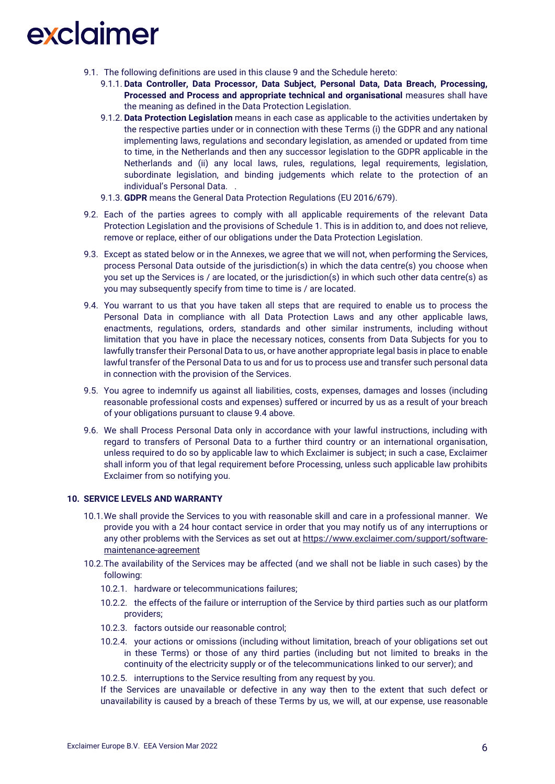- 9.1. The following definitions are used in this clause 9 and the Schedule hereto:
	- 9.1.1. **Data Controller, Data Processor, Data Subject, Personal Data, Data Breach, Processing, Processed and Process and appropriate technical and organisational** measures shall have the meaning as defined in the Data Protection Legislation.
	- 9.1.2. **Data Protection Legislation** means in each case as applicable to the activities undertaken by the respective parties under or in connection with these Terms (i) the GDPR and any national implementing laws, regulations and secondary legislation, as amended or updated from time to time, in the Netherlands and then any successor legislation to the GDPR applicable in the Netherlands and (ii) any local laws, rules, regulations, legal requirements, legislation, subordinate legislation, and binding judgements which relate to the protection of an individual's Personal Data. .
	- 9.1.3. **GDPR** means the General Data Protection Regulations (EU 2016/679).
- 9.2. Each of the parties agrees to comply with all applicable requirements of the relevant Data Protection Legislation and the provisions of Schedule 1. This is in addition to, and does not relieve, remove or replace, either of our obligations under the Data Protection Legislation.
- 9.3. Except as stated below or in the Annexes, we agree that we will not, when performing the Services, process Personal Data outside of the jurisdiction(s) in which the data centre(s) you choose when you set up the Services is / are located, or the jurisdiction(s) in which such other data centre(s) as you may subsequently specify from time to time is / are located.
- 9.4. You warrant to us that you have taken all steps that are required to enable us to process the Personal Data in compliance with all Data Protection Laws and any other applicable laws, enactments, regulations, orders, standards and other similar instruments, including without limitation that you have in place the necessary notices, consents from Data Subjects for you to lawfully transfer their Personal Data to us, or have another appropriate legal basis in place to enable lawful transfer of the Personal Data to us and for us to process use and transfer such personal data in connection with the provision of the Services.
- 9.5. You agree to indemnify us against all liabilities, costs, expenses, damages and losses (including reasonable professional costs and expenses) suffered or incurred by us as a result of your breach of your obligations pursuant to clause 9.4 above.
- 9.6. We shall Process Personal Data only in accordance with your lawful instructions, including with regard to transfers of Personal Data to a further third country or an international organisation, unless required to do so by applicable law to which Exclaimer is subject; in such a case, Exclaimer shall inform you of that legal requirement before Processing, unless such applicable law prohibits Exclaimer from so notifying you.

## **10. SERVICE LEVELS AND WARRANTY**

- 10.1.We shall provide the Services to you with reasonable skill and care in a professional manner. We provide you with a 24 hour contact service in order that you may notify us of any interruptions or any other problems with the Services as set out at [https://www.exclaimer.com/support/software](https://www.exclaimer.com/support/software-maintenance-agreement)[maintenance-agreement](https://www.exclaimer.com/support/software-maintenance-agreement)
- 10.2.The availability of the Services may be affected (and we shall not be liable in such cases) by the following:
	- 10.2.1. hardware or telecommunications failures;
	- 10.2.2. the effects of the failure or interruption of the Service by third parties such as our platform providers;
	- 10.2.3. factors outside our reasonable control;
	- 10.2.4. your actions or omissions (including without limitation, breach of your obligations set out in these Terms) or those of any third parties (including but not limited to breaks in the continuity of the electricity supply or of the telecommunications linked to our server); and
	- 10.2.5. interruptions to the Service resulting from any request by you.

If the Services are unavailable or defective in any way then to the extent that such defect or unavailability is caused by a breach of these Terms by us, we will, at our expense, use reasonable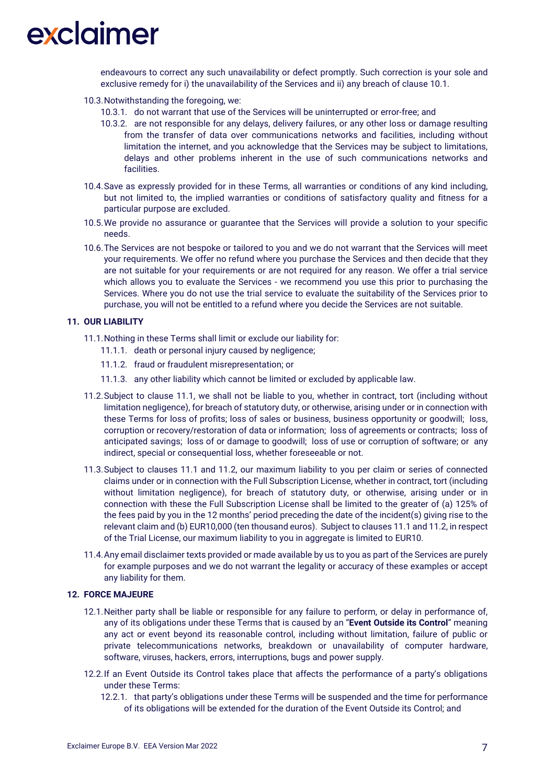endeavours to correct any such unavailability or defect promptly. Such correction is your sole and exclusive remedy for i) the unavailability of the Services and ii) any breach of clause 10.1.

- 10.3.Notwithstanding the foregoing, we:
	- 10.3.1. do not warrant that use of the Services will be uninterrupted or error-free; and
	- 10.3.2. are not responsible for any delays, delivery failures, or any other loss or damage resulting from the transfer of data over communications networks and facilities, including without limitation the internet, and you acknowledge that the Services may be subject to limitations, delays and other problems inherent in the use of such communications networks and facilities.
- 10.4.Save as expressly provided for in these Terms, all warranties or conditions of any kind including, but not limited to, the implied warranties or conditions of satisfactory quality and fitness for a particular purpose are excluded.
- 10.5.We provide no assurance or guarantee that the Services will provide a solution to your specific needs.
- 10.6.The Services are not bespoke or tailored to you and we do not warrant that the Services will meet your requirements. We offer no refund where you purchase the Services and then decide that they are not suitable for your requirements or are not required for any reason. We offer a trial service which allows you to evaluate the Services - we recommend you use this prior to purchasing the Services. Where you do not use the trial service to evaluate the suitability of the Services prior to purchase, you will not be entitled to a refund where you decide the Services are not suitable.

## **11. OUR LIABILITY**

- 11.1.Nothing in these Terms shall limit or exclude our liability for:
	- 11.1.1. death or personal injury caused by negligence;
	- 11.1.2. fraud or fraudulent misrepresentation; or
	- 11.1.3. any other liability which cannot be limited or excluded by applicable law.
- 11.2.Subject to clause 11.1, we shall not be liable to you, whether in contract, tort (including without limitation negligence), for breach of statutory duty, or otherwise, arising under or in connection with these Terms for loss of profits; loss of sales or business, business opportunity or goodwill; loss, corruption or recovery/restoration of data or information; loss of agreements or contracts; loss of anticipated savings; loss of or damage to goodwill; loss of use or corruption of software; or any indirect, special or consequential loss, whether foreseeable or not.
- 11.3.Subject to clauses 11.1 and 11.2, our maximum liability to you per claim or series of connected claims under or in connection with the Full Subscription License, whether in contract, tort (including without limitation negligence), for breach of statutory duty, or otherwise, arising under or in connection with these the Full Subscription License shall be limited to the greater of (a) 125% of the fees paid by you in the 12 months' period preceding the date of the incident(s) giving rise to the relevant claim and (b) EUR10,000 (ten thousand euros). Subject to clauses 11.1 and 11.2, in respect of the Trial License, our maximum liability to you in aggregate is limited to EUR10.
- 11.4.Any email disclaimer texts provided or made available by us to you as part of the Services are purely for example purposes and we do not warrant the legality or accuracy of these examples or accept any liability for them.

### **12. FORCE MAJEURE**

- 12.1.Neither party shall be liable or responsible for any failure to perform, or delay in performance of, any of its obligations under these Terms that is caused by an "**Event Outside its Control**" meaning any act or event beyond its reasonable control, including without limitation, failure of public or private telecommunications networks, breakdown or unavailability of computer hardware, software, viruses, hackers, errors, interruptions, bugs and power supply.
- 12.2.If an Event Outside its Control takes place that affects the performance of a party's obligations under these Terms:
	- 12.2.1. that party's obligations under these Terms will be suspended and the time for performance of its obligations will be extended for the duration of the Event Outside its Control; and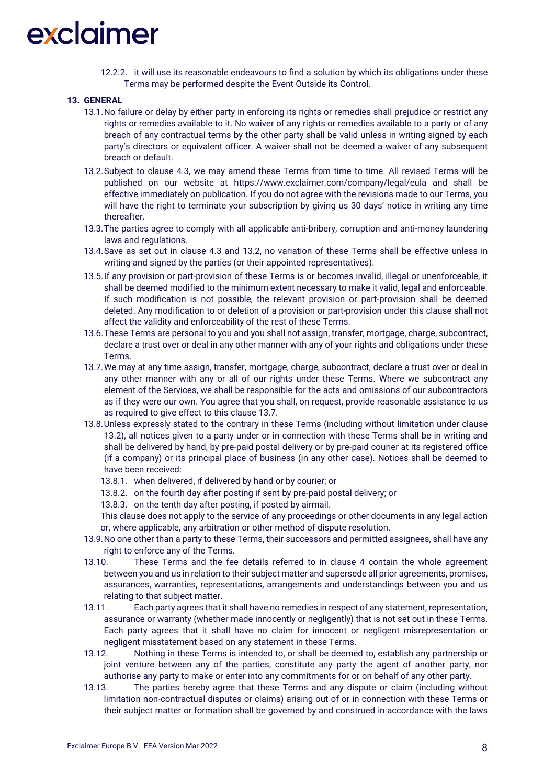12.2.2. it will use its reasonable endeavours to find a solution by which its obligations under these Terms may be performed despite the Event Outside its Control.

### **13. GENERAL**

- 13.1.No failure or delay by either party in enforcing its rights or remedies shall prejudice or restrict any rights or remedies available to it. No waiver of any rights or remedies available to a party or of any breach of any contractual terms by the other party shall be valid unless in writing signed by each party's directors or equivalent officer. A waiver shall not be deemed a waiver of any subsequent breach or default.
- 13.2.Subject to clause 4.3, we may amend these Terms from time to time. All revised Terms will be published on our website at <https://www.exclaimer.com/company/legal/eula> and shall be effective immediately on publication. If you do not agree with the revisions made to our Terms, you will have the right to terminate your subscription by giving us 30 days' notice in writing any time thereafter.
- 13.3.The parties agree to comply with all applicable anti-bribery, corruption and anti-money laundering laws and regulations.
- 13.4.Save as set out in clause 4.3 and 13.2, no variation of these Terms shall be effective unless in writing and signed by the parties (or their appointed representatives).
- 13.5.If any provision or part-provision of these Terms is or becomes invalid, illegal or unenforceable, it shall be deemed modified to the minimum extent necessary to make it valid, legal and enforceable. If such modification is not possible, the relevant provision or part-provision shall be deemed deleted. Any modification to or deletion of a provision or part-provision under this clause shall not affect the validity and enforceability of the rest of these Terms.
- 13.6.These Terms are personal to you and you shall not assign, transfer, mortgage, charge, subcontract, declare a trust over or deal in any other manner with any of your rights and obligations under these Terms.
- 13.7.We may at any time assign, transfer, mortgage, charge, subcontract, declare a trust over or deal in any other manner with any or all of our rights under these Terms. Where we subcontract any element of the Services, we shall be responsible for the acts and omissions of our subcontractors as if they were our own. You agree that you shall, on request, provide reasonable assistance to us as required to give effect to this clause 13.7.
- 13.8.Unless expressly stated to the contrary in these Terms (including without limitation under clause 13.2), all notices given to a party under or in connection with these Terms shall be in writing and shall be delivered by hand, by pre-paid postal delivery or by pre-paid courier at its registered office (if a company) or its principal place of business (in any other case). Notices shall be deemed to have been received:
	- 13.8.1. when delivered, if delivered by hand or by courier; or
	- 13.8.2. on the fourth day after posting if sent by pre-paid postal delivery; or
	- 13.8.3. on the tenth day after posting, if posted by airmail.

This clause does not apply to the service of any proceedings or other documents in any legal action or, where applicable, any arbitration or other method of dispute resolution.

- 13.9.No one other than a party to these Terms, their successors and permitted assignees, shall have any right to enforce any of the Terms.
- 13.10. These Terms and the fee details referred to in clause 4 contain the whole agreement between you and us in relation to their subject matter and supersede all prior agreements, promises, assurances, warranties, representations, arrangements and understandings between you and us relating to that subject matter.
- 13.11. Each party agrees that it shall have no remedies in respect of any statement, representation, assurance or warranty (whether made innocently or negligently) that is not set out in these Terms. Each party agrees that it shall have no claim for innocent or negligent misrepresentation or negligent misstatement based on any statement in these Terms.
- 13.12. Nothing in these Terms is intended to, or shall be deemed to, establish any partnership or joint venture between any of the parties, constitute any party the agent of another party, nor authorise any party to make or enter into any commitments for or on behalf of any other party.
- 13.13. The parties hereby agree that these Terms and any dispute or claim (including without limitation non-contractual disputes or claims) arising out of or in connection with these Terms or their subject matter or formation shall be governed by and construed in accordance with the laws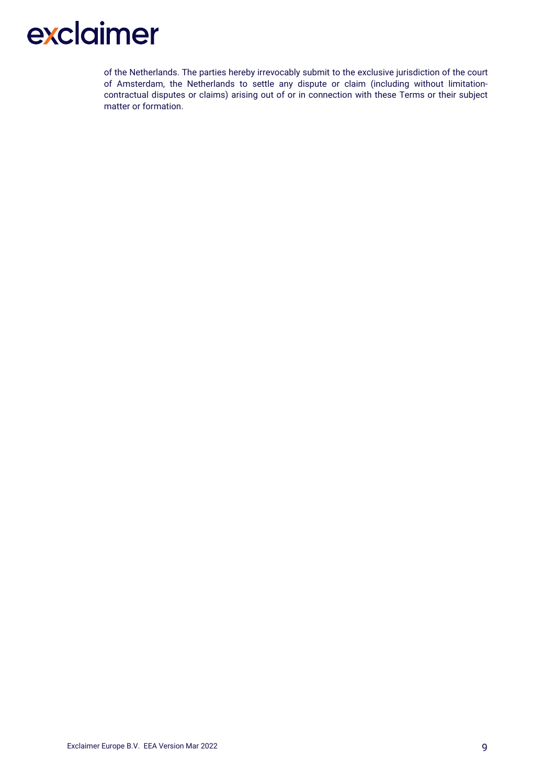of the Netherlands. The parties hereby irrevocably submit to the exclusive jurisdiction of the court of Amsterdam, the Netherlands to settle any dispute or claim (including without limitationcontractual disputes or claims) arising out of or in connection with these Terms or their subject matter or formation.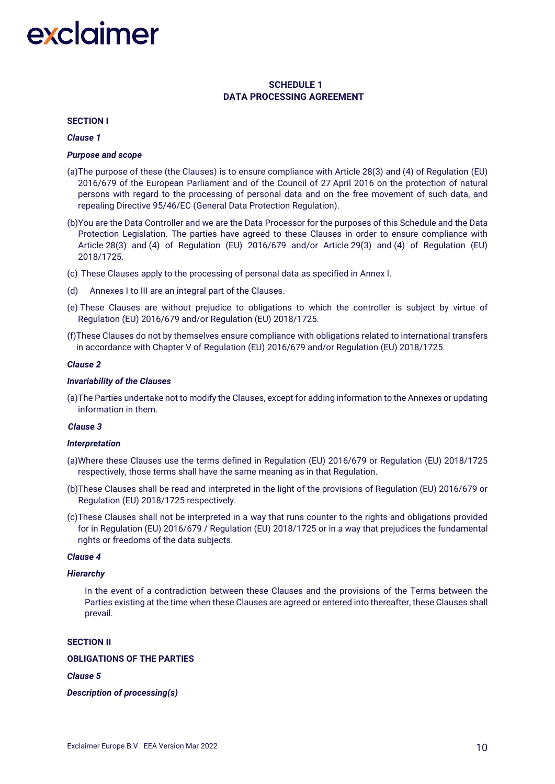# **SCHEDULE 1 DATA PROCESSING AGREEMENT**

#### **SECTION I**

#### *Clause 1*

#### *Purpose and scope*

- (a)The purpose of these (the Clauses) is to ensure compliance with Article 28(3) and (4) of Regulation (EU) 2016/679 of the European Parliament and of the Council of 27 April 2016 on the protection of natural persons with regard to the processing of personal data and on the free movement of such data, and repealing Directive 95/46/EC (General Data Protection Regulation).
- (b)You are the Data Controller and we are the Data Processor for the purposes of this Schedule and the Data Protection Legislation. The parties have agreed to these Clauses in order to ensure compliance with Article 28(3) and (4) of Regulation (EU) 2016/679 and/or Article 29(3) and (4) of Regulation (EU) 2018/1725.
- (c) These Clauses apply to the processing of personal data as specified in Annex I.
- (d) Annexes I to III are an integral part of the Clauses.
- (e) These Clauses are without prejudice to obligations to which the controller is subject by virtue of Regulation (EU) 2016/679 and/or Regulation (EU) 2018/1725.
- (f)These Clauses do not by themselves ensure compliance with obligations related to international transfers in accordance with Chapter V of Regulation (EU) 2016/679 and/or Regulation (EU) 2018/1725.

#### *Clause 2*

#### *Invariability of the Clauses*

(a)The Parties undertake not to modify the Clauses, except for adding information to the Annexes or updating information in them.

#### *Clause 3*

#### *Interpretation*

- (a)Where these Clauses use the terms defined in Regulation (EU) 2016/679 or Regulation (EU) 2018/1725 respectively, those terms shall have the same meaning as in that Regulation.
- (b)These Clauses shall be read and interpreted in the light of the provisions of Regulation (EU) 2016/679 or Regulation (EU) 2018/1725 respectively.
- (c)These Clauses shall not be interpreted in a way that runs counter to the rights and obligations provided for in Regulation (EU) 2016/679 / Regulation (EU) 2018/1725 or in a way that prejudices the fundamental rights or freedoms of the data subjects.

#### *Clause 4*

#### *Hierarchy*

In the event of a contradiction between these Clauses and the provisions of the Terms between the Parties existing at the time when these Clauses are agreed or entered into thereafter, these Clauses shall prevail.

#### **SECTION II**

#### **OBLIGATIONS OF THE PARTIES**

#### *Clause 5*

### *Description of processing(s)*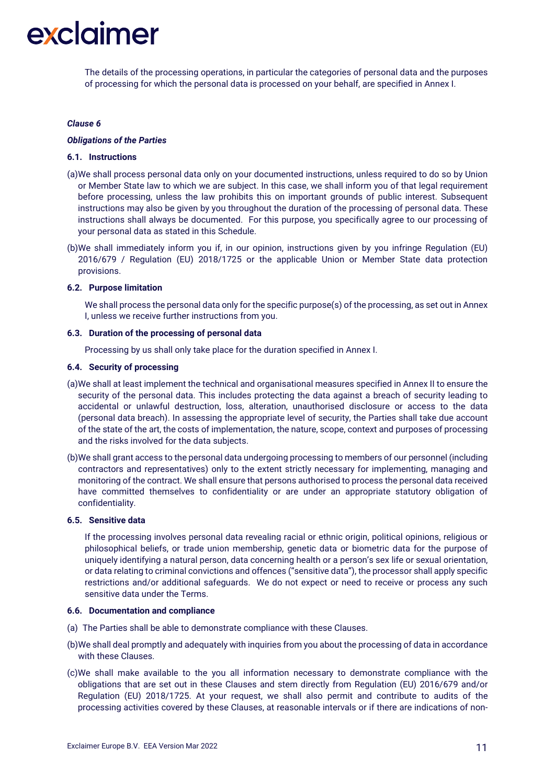The details of the processing operations, in particular the categories of personal data and the purposes of processing for which the personal data is processed on your behalf, are specified in Annex I.

#### *Clause 6*

#### *Obligations of the Parties*

## **6.1. Instructions**

- (a)We shall process personal data only on your documented instructions, unless required to do so by Union or Member State law to which we are subject. In this case, we shall inform you of that legal requirement before processing, unless the law prohibits this on important grounds of public interest. Subsequent instructions may also be given by you throughout the duration of the processing of personal data. These instructions shall always be documented. For this purpose, you specifically agree to our processing of your personal data as stated in this Schedule.
- (b)We shall immediately inform you if, in our opinion, instructions given by you infringe Regulation (EU) 2016/679 / Regulation (EU) 2018/1725 or the applicable Union or Member State data protection provisions.

#### **6.2. Purpose limitation**

We shall process the personal data only for the specific purpose(s) of the processing, as set out in Annex I, unless we receive further instructions from you.

### **6.3. Duration of the processing of personal data**

Processing by us shall only take place for the duration specified in Annex I.

#### **6.4. Security of processing**

- (a)We shall at least implement the technical and organisational measures specified in Annex II to ensure the security of the personal data. This includes protecting the data against a breach of security leading to accidental or unlawful destruction, loss, alteration, unauthorised disclosure or access to the data (personal data breach). In assessing the appropriate level of security, the Parties shall take due account of the state of the art, the costs of implementation, the nature, scope, context and purposes of processing and the risks involved for the data subjects.
- (b)We shall grant access to the personal data undergoing processing to members of our personnel (including contractors and representatives) only to the extent strictly necessary for implementing, managing and monitoring of the contract. We shall ensure that persons authorised to process the personal data received have committed themselves to confidentiality or are under an appropriate statutory obligation of confidentiality.

### **6.5. Sensitive data**

If the processing involves personal data revealing racial or ethnic origin, political opinions, religious or philosophical beliefs, or trade union membership, genetic data or biometric data for the purpose of uniquely identifying a natural person, data concerning health or a person's sex life or sexual orientation, or data relating to criminal convictions and offences ("sensitive data"), the processor shall apply specific restrictions and/or additional safeguards. We do not expect or need to receive or process any such sensitive data under the Terms.

#### **6.6. Documentation and compliance**

- (a) The Parties shall be able to demonstrate compliance with these Clauses.
- (b)We shall deal promptly and adequately with inquiries from you about the processing of data in accordance with these Clauses.
- (c)We shall make available to the you all information necessary to demonstrate compliance with the obligations that are set out in these Clauses and stem directly from Regulation (EU) 2016/679 and/or Regulation (EU) 2018/1725. At your request, we shall also permit and contribute to audits of the processing activities covered by these Clauses, at reasonable intervals or if there are indications of non-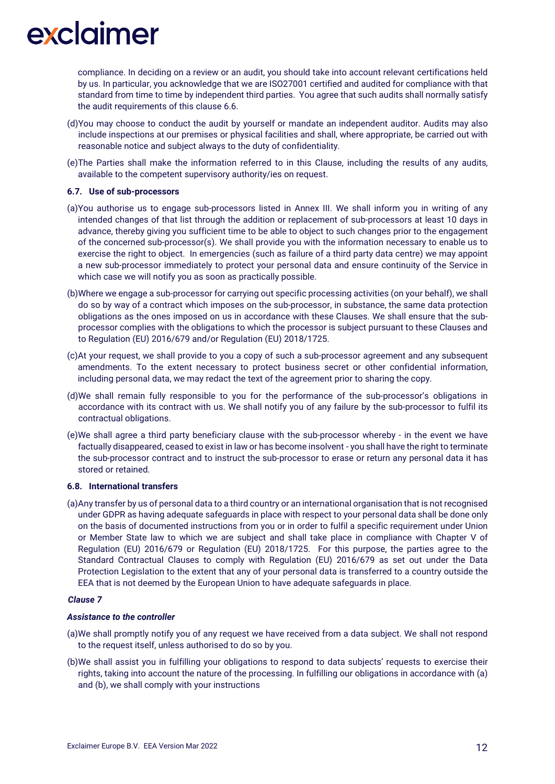compliance. In deciding on a review or an audit, you should take into account relevant certifications held by us. In particular, you acknowledge that we are ISO27001 certified and audited for compliance with that standard from time to time by independent third parties. You agree that such audits shall normally satisfy the audit requirements of this clause 6.6.

- (d)You may choose to conduct the audit by yourself or mandate an independent auditor. Audits may also include inspections at our premises or physical facilities and shall, where appropriate, be carried out with reasonable notice and subject always to the duty of confidentiality.
- (e)The Parties shall make the information referred to in this Clause, including the results of any audits, available to the competent supervisory authority/ies on request.

### **6.7. Use of sub-processors**

- (a)You authorise us to engage sub-processors listed in Annex III. We shall inform you in writing of any intended changes of that list through the addition or replacement of sub-processors at least 10 days in advance, thereby giving you sufficient time to be able to object to such changes prior to the engagement of the concerned sub-processor(s). We shall provide you with the information necessary to enable us to exercise the right to object. In emergencies (such as failure of a third party data centre) we may appoint a new sub-processor immediately to protect your personal data and ensure continuity of the Service in which case we will notify you as soon as practically possible.
- (b)Where we engage a sub-processor for carrying out specific processing activities (on your behalf), we shall do so by way of a contract which imposes on the sub-processor, in substance, the same data protection obligations as the ones imposed on us in accordance with these Clauses. We shall ensure that the subprocessor complies with the obligations to which the processor is subject pursuant to these Clauses and to Regulation (EU) 2016/679 and/or Regulation (EU) 2018/1725.
- (c)At your request, we shall provide to you a copy of such a sub-processor agreement and any subsequent amendments. To the extent necessary to protect business secret or other confidential information, including personal data, we may redact the text of the agreement prior to sharing the copy.
- (d)We shall remain fully responsible to you for the performance of the sub-processor's obligations in accordance with its contract with us. We shall notify you of any failure by the sub-processor to fulfil its contractual obligations.
- (e)We shall agree a third party beneficiary clause with the sub-processor whereby in the event we have factually disappeared, ceased to exist in law or has become insolvent - you shall have the right to terminate the sub-processor contract and to instruct the sub-processor to erase or return any personal data it has stored or retained.

### **6.8. International transfers**

(a)Any transfer by us of personal data to a third country or an international organisation that is not recognised under GDPR as having adequate safeguards in place with respect to your personal data shall be done only on the basis of documented instructions from you or in order to fulfil a specific requirement under Union or Member State law to which we are subject and shall take place in compliance with Chapter V of Regulation (EU) 2016/679 or Regulation (EU) 2018/1725. For this purpose, the parties agree to the Standard Contractual Clauses to comply with Regulation (EU) 2016/679 as set out under the Data Protection Legislation to the extent that any of your personal data is transferred to a country outside the EEA that is not deemed by the European Union to have adequate safeguards in place.

### *Clause 7*

## *Assistance to the controller*

- (a)We shall promptly notify you of any request we have received from a data subject. We shall not respond to the request itself, unless authorised to do so by you.
- (b)We shall assist you in fulfilling your obligations to respond to data subjects' requests to exercise their rights, taking into account the nature of the processing. In fulfilling our obligations in accordance with (a) and (b), we shall comply with your instructions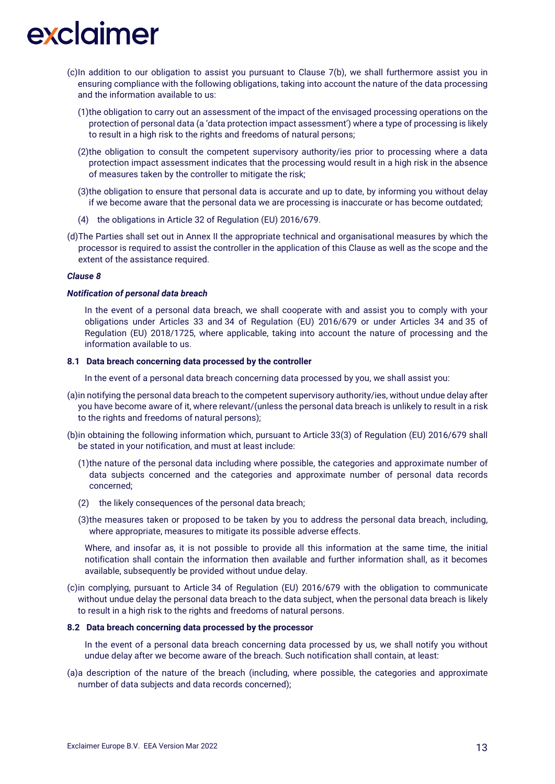- (c)In addition to our obligation to assist you pursuant to Clause 7(b), we shall furthermore assist you in ensuring compliance with the following obligations, taking into account the nature of the data processing and the information available to us:
	- (1)the obligation to carry out an assessment of the impact of the envisaged processing operations on the protection of personal data (a 'data protection impact assessment') where a type of processing is likely to result in a high risk to the rights and freedoms of natural persons;
	- (2)the obligation to consult the competent supervisory authority/ies prior to processing where a data protection impact assessment indicates that the processing would result in a high risk in the absence of measures taken by the controller to mitigate the risk;
	- (3)the obligation to ensure that personal data is accurate and up to date, by informing you without delay if we become aware that the personal data we are processing is inaccurate or has become outdated;
	- (4) the obligations in Article 32 of Regulation (EU) 2016/679.
- (d)The Parties shall set out in Annex II the appropriate technical and organisational measures by which the processor is required to assist the controller in the application of this Clause as well as the scope and the extent of the assistance required.

#### *Clause 8*

### *Notification of personal data breach*

In the event of a personal data breach, we shall cooperate with and assist you to comply with your obligations under Articles 33 and 34 of Regulation (EU) 2016/679 or under Articles 34 and 35 of Regulation (EU) 2018/1725, where applicable, taking into account the nature of processing and the information available to us.

### **8.1 Data breach concerning data processed by the controller**

In the event of a personal data breach concerning data processed by you, we shall assist you:

- (a)in notifying the personal data breach to the competent supervisory authority/ies, without undue delay after you have become aware of it, where relevant/(unless the personal data breach is unlikely to result in a risk to the rights and freedoms of natural persons);
- (b)in obtaining the following information which, pursuant to Article 33(3) of Regulation (EU) 2016/679 shall be stated in your notification, and must at least include:
	- (1)the nature of the personal data including where possible, the categories and approximate number of data subjects concerned and the categories and approximate number of personal data records concerned;
	- (2) the likely consequences of the personal data breach;
	- (3)the measures taken or proposed to be taken by you to address the personal data breach, including, where appropriate, measures to mitigate its possible adverse effects.

Where, and insofar as, it is not possible to provide all this information at the same time, the initial notification shall contain the information then available and further information shall, as it becomes available, subsequently be provided without undue delay.

(c)in complying, pursuant to Article 34 of Regulation (EU) 2016/679 with the obligation to communicate without undue delay the personal data breach to the data subject, when the personal data breach is likely to result in a high risk to the rights and freedoms of natural persons.

### **8.2 Data breach concerning data processed by the processor**

In the event of a personal data breach concerning data processed by us, we shall notify you without undue delay after we become aware of the breach. Such notification shall contain, at least:

(a)a description of the nature of the breach (including, where possible, the categories and approximate number of data subjects and data records concerned);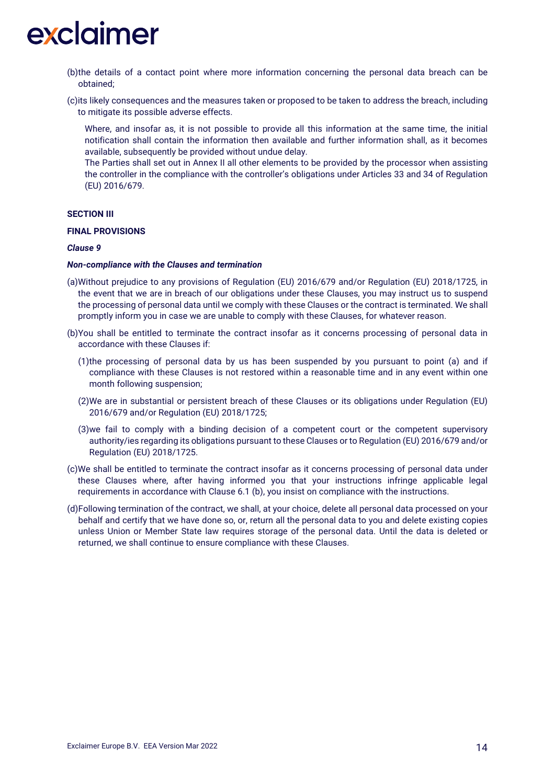

- (b)the details of a contact point where more information concerning the personal data breach can be obtained;
- (c)its likely consequences and the measures taken or proposed to be taken to address the breach, including to mitigate its possible adverse effects.
	- Where, and insofar as, it is not possible to provide all this information at the same time, the initial notification shall contain the information then available and further information shall, as it becomes available, subsequently be provided without undue delay.
	- The Parties shall set out in Annex II all other elements to be provided by the processor when assisting the controller in the compliance with the controller's obligations under Articles 33 and 34 of Regulation (EU) 2016/679.

#### **SECTION III**

#### **FINAL PROVISIONS**

#### *Clause 9*

## *Non-compliance with the Clauses and termination*

- (a)Without prejudice to any provisions of Regulation (EU) 2016/679 and/or Regulation (EU) 2018/1725, in the event that we are in breach of our obligations under these Clauses, you may instruct us to suspend the processing of personal data until we comply with these Clauses or the contract is terminated. We shall promptly inform you in case we are unable to comply with these Clauses, for whatever reason.
- (b)You shall be entitled to terminate the contract insofar as it concerns processing of personal data in accordance with these Clauses if:
	- (1)the processing of personal data by us has been suspended by you pursuant to point (a) and if compliance with these Clauses is not restored within a reasonable time and in any event within one month following suspension;
	- (2)We are in substantial or persistent breach of these Clauses or its obligations under Regulation (EU) 2016/679 and/or Regulation (EU) 2018/1725;
	- (3)we fail to comply with a binding decision of a competent court or the competent supervisory authority/ies regarding its obligations pursuant to these Clauses or to Regulation (EU) 2016/679 and/or Regulation (EU) 2018/1725.
- (c)We shall be entitled to terminate the contract insofar as it concerns processing of personal data under these Clauses where, after having informed you that your instructions infringe applicable legal requirements in accordance with Clause 6.1 (b), you insist on compliance with the instructions.
- (d)Following termination of the contract, we shall, at your choice, delete all personal data processed on your behalf and certify that we have done so, or, return all the personal data to you and delete existing copies unless Union or Member State law requires storage of the personal data. Until the data is deleted or returned, we shall continue to ensure compliance with these Clauses.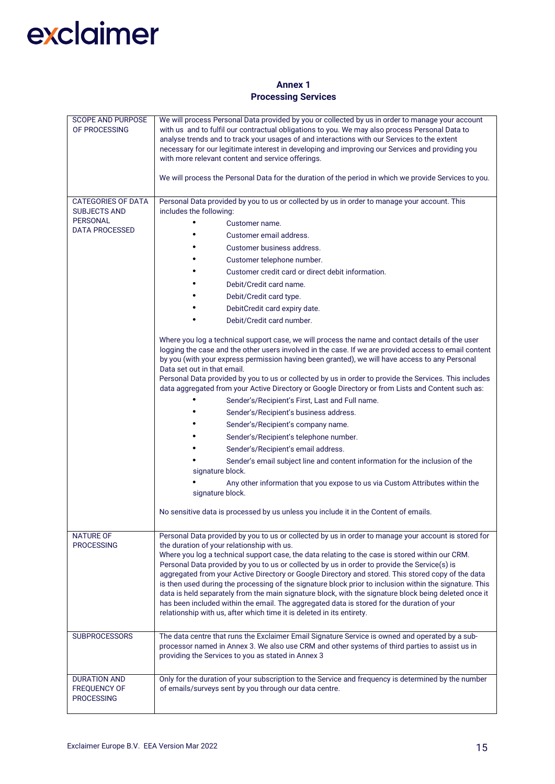# **Annex 1 Processing Services**

| <b>SCOPE AND PURPOSE</b><br>OF PROCESSING                       | We will process Personal Data provided by you or collected by us in order to manage your account<br>with us and to fulfil our contractual obligations to you. We may also process Personal Data to<br>analyse trends and to track your usages of and interactions with our Services to the extent<br>necessary for our legitimate interest in developing and improving our Services and providing you<br>with more relevant content and service offerings.                                                                                                                                                                                                                                                                                     |  |  |  |  |
|-----------------------------------------------------------------|------------------------------------------------------------------------------------------------------------------------------------------------------------------------------------------------------------------------------------------------------------------------------------------------------------------------------------------------------------------------------------------------------------------------------------------------------------------------------------------------------------------------------------------------------------------------------------------------------------------------------------------------------------------------------------------------------------------------------------------------|--|--|--|--|
|                                                                 | We will process the Personal Data for the duration of the period in which we provide Services to you.                                                                                                                                                                                                                                                                                                                                                                                                                                                                                                                                                                                                                                          |  |  |  |  |
| <b>CATEGORIES OF DATA</b><br><b>SUBJECTS AND</b>                | Personal Data provided by you to us or collected by us in order to manage your account. This<br>includes the following:                                                                                                                                                                                                                                                                                                                                                                                                                                                                                                                                                                                                                        |  |  |  |  |
| <b>PERSONAL</b>                                                 | Customer name.                                                                                                                                                                                                                                                                                                                                                                                                                                                                                                                                                                                                                                                                                                                                 |  |  |  |  |
| <b>DATA PROCESSED</b>                                           | Customer email address.                                                                                                                                                                                                                                                                                                                                                                                                                                                                                                                                                                                                                                                                                                                        |  |  |  |  |
|                                                                 | Customer business address.                                                                                                                                                                                                                                                                                                                                                                                                                                                                                                                                                                                                                                                                                                                     |  |  |  |  |
|                                                                 | Customer telephone number.                                                                                                                                                                                                                                                                                                                                                                                                                                                                                                                                                                                                                                                                                                                     |  |  |  |  |
|                                                                 | Customer credit card or direct debit information.                                                                                                                                                                                                                                                                                                                                                                                                                                                                                                                                                                                                                                                                                              |  |  |  |  |
|                                                                 | Debit/Credit card name.                                                                                                                                                                                                                                                                                                                                                                                                                                                                                                                                                                                                                                                                                                                        |  |  |  |  |
|                                                                 | Debit/Credit card type.                                                                                                                                                                                                                                                                                                                                                                                                                                                                                                                                                                                                                                                                                                                        |  |  |  |  |
|                                                                 | DebitCredit card expiry date.                                                                                                                                                                                                                                                                                                                                                                                                                                                                                                                                                                                                                                                                                                                  |  |  |  |  |
|                                                                 | Debit/Credit card number.                                                                                                                                                                                                                                                                                                                                                                                                                                                                                                                                                                                                                                                                                                                      |  |  |  |  |
|                                                                 | Where you log a technical support case, we will process the name and contact details of the user<br>logging the case and the other users involved in the case. If we are provided access to email content<br>by you (with your express permission having been granted), we will have access to any Personal<br>Data set out in that email.<br>Personal Data provided by you to us or collected by us in order to provide the Services. This includes                                                                                                                                                                                                                                                                                           |  |  |  |  |
|                                                                 | data aggregated from your Active Directory or Google Directory or from Lists and Content such as:                                                                                                                                                                                                                                                                                                                                                                                                                                                                                                                                                                                                                                              |  |  |  |  |
|                                                                 | Sender's/Recipient's First, Last and Full name.                                                                                                                                                                                                                                                                                                                                                                                                                                                                                                                                                                                                                                                                                                |  |  |  |  |
|                                                                 | Sender's/Recipient's business address.                                                                                                                                                                                                                                                                                                                                                                                                                                                                                                                                                                                                                                                                                                         |  |  |  |  |
|                                                                 | Sender's/Recipient's company name.                                                                                                                                                                                                                                                                                                                                                                                                                                                                                                                                                                                                                                                                                                             |  |  |  |  |
|                                                                 | Sender's/Recipient's telephone number.                                                                                                                                                                                                                                                                                                                                                                                                                                                                                                                                                                                                                                                                                                         |  |  |  |  |
|                                                                 | Sender's/Recipient's email address.                                                                                                                                                                                                                                                                                                                                                                                                                                                                                                                                                                                                                                                                                                            |  |  |  |  |
|                                                                 | Sender's email subject line and content information for the inclusion of the<br>signature block.                                                                                                                                                                                                                                                                                                                                                                                                                                                                                                                                                                                                                                               |  |  |  |  |
|                                                                 | Any other information that you expose to us via Custom Attributes within the<br>signature block.                                                                                                                                                                                                                                                                                                                                                                                                                                                                                                                                                                                                                                               |  |  |  |  |
|                                                                 | No sensitive data is processed by us unless you include it in the Content of emails.                                                                                                                                                                                                                                                                                                                                                                                                                                                                                                                                                                                                                                                           |  |  |  |  |
| <b>NATURE OF</b>                                                | Personal Data provided by you to us or collected by us in order to manage your account is stored for                                                                                                                                                                                                                                                                                                                                                                                                                                                                                                                                                                                                                                           |  |  |  |  |
| <b>PROCESSING</b>                                               | the duration of your relationship with us.<br>Where you log a technical support case, the data relating to the case is stored within our CRM.<br>Personal Data provided by you to us or collected by us in order to provide the Service(s) is<br>aggregated from your Active Directory or Google Directory and stored. This stored copy of the data<br>is then used during the processing of the signature block prior to inclusion within the signature. This<br>data is held separately from the main signature block, with the signature block being deleted once it<br>has been included within the email. The aggregated data is stored for the duration of your<br>relationship with us, after which time it is deleted in its entirety. |  |  |  |  |
| <b>SUBPROCESSORS</b>                                            | The data centre that runs the Exclaimer Email Signature Service is owned and operated by a sub-<br>processor named in Annex 3. We also use CRM and other systems of third parties to assist us in<br>providing the Services to you as stated in Annex 3                                                                                                                                                                                                                                                                                                                                                                                                                                                                                        |  |  |  |  |
| <b>DURATION AND</b><br><b>FREQUENCY OF</b><br><b>PROCESSING</b> | Only for the duration of your subscription to the Service and frequency is determined by the number<br>of emails/surveys sent by you through our data centre.                                                                                                                                                                                                                                                                                                                                                                                                                                                                                                                                                                                  |  |  |  |  |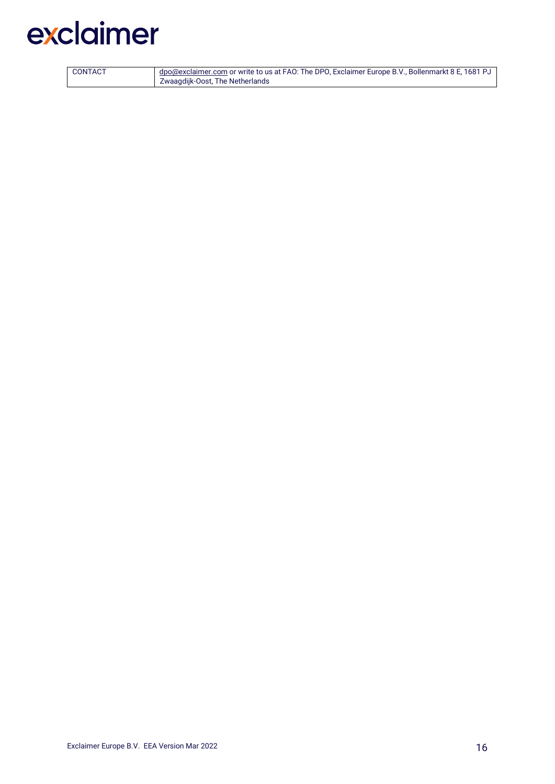| CONTACT | dpo@exclaimer.com or write to us at FAO: The DPO, Exclaimer Europe B.V., Bollenmarkt 8 E, 1681 PJ |
|---------|---------------------------------------------------------------------------------------------------|
|         | Zwaagdijk-Oost, The Netherlands                                                                   |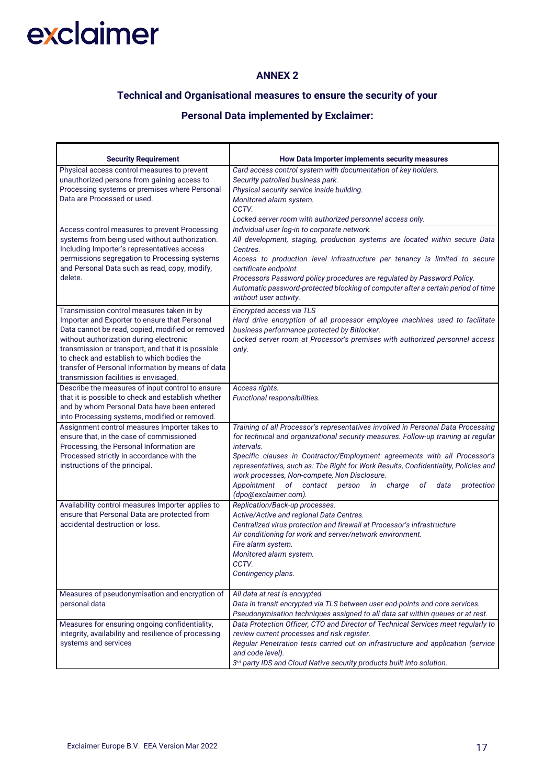## **ANNEX 2**

# **Technical and Organisational measures to ensure the security of your**

# **Personal Data implemented by Exclaimer:**

| <b>Security Requirement</b>                                                                                                                                                                                                                                                                                                                                                                 | How Data Importer implements security measures                                                                                                                                                                                                                                                                                                                                                                                                                                                                  |  |  |  |
|---------------------------------------------------------------------------------------------------------------------------------------------------------------------------------------------------------------------------------------------------------------------------------------------------------------------------------------------------------------------------------------------|-----------------------------------------------------------------------------------------------------------------------------------------------------------------------------------------------------------------------------------------------------------------------------------------------------------------------------------------------------------------------------------------------------------------------------------------------------------------------------------------------------------------|--|--|--|
| Physical access control measures to prevent<br>unauthorized persons from gaining access to<br>Processing systems or premises where Personal<br>Data are Processed or used.                                                                                                                                                                                                                  | Card access control system with documentation of key holders.<br>Security patrolled business park.<br>Physical security service inside building.<br>Monitored alarm system.<br>CCTV.<br>Locked server room with authorized personnel access only.                                                                                                                                                                                                                                                               |  |  |  |
| Access control measures to prevent Processing<br>systems from being used without authorization.<br>Including Importer's representatives access<br>permissions segregation to Processing systems<br>and Personal Data such as read, copy, modify,<br>delete.                                                                                                                                 | Individual user log-in to corporate network.<br>All development, staging, production systems are located within secure Data<br>Centres.<br>Access to production level infrastructure per tenancy is limited to secure<br>certificate endpoint.<br>Processors Password policy procedures are regulated by Password Policy.<br>Automatic password-protected blocking of computer after a certain period of time<br>without user activity.                                                                         |  |  |  |
| Transmission control measures taken in by<br>Importer and Exporter to ensure that Personal<br>Data cannot be read, copied, modified or removed<br>without authorization during electronic<br>transmission or transport, and that it is possible<br>to check and establish to which bodies the<br>transfer of Personal Information by means of data<br>transmission facilities is envisaged. | Encrypted access via TLS<br>Hard drive encryption of all processor employee machines used to facilitate<br>business performance protected by Bitlocker.<br>Locked server room at Processor's premises with authorized personnel access<br>only.                                                                                                                                                                                                                                                                 |  |  |  |
| Describe the measures of input control to ensure<br>that it is possible to check and establish whether<br>and by whom Personal Data have been entered<br>into Processing systems, modified or removed.                                                                                                                                                                                      | Access rights.<br>Functional responsibilities.                                                                                                                                                                                                                                                                                                                                                                                                                                                                  |  |  |  |
| Assignment control measures Importer takes to<br>ensure that, in the case of commissioned<br>Processing, the Personal Information are<br>Processed strictly in accordance with the<br>instructions of the principal.                                                                                                                                                                        | Training of all Processor's representatives involved in Personal Data Processing<br>for technical and organizational security measures. Follow-up training at regular<br>intervals.<br>Specific clauses in Contractor/Employment agreements with all Processor's<br>representatives, such as: The Right for Work Results, Confidentiality, Policies and<br>work processes, Non-compete, Non Disclosure.<br>Appointment<br>of contact person<br>charge<br>in<br>оf<br>data<br>protection<br>(dpo@exclaimer.com). |  |  |  |
| Availability control measures Importer applies to<br>ensure that Personal Data are protected from<br>accidental destruction or loss.                                                                                                                                                                                                                                                        | Replication/Back-up processes.<br>Active/Active and regional Data Centres.<br>Centralized virus protection and firewall at Processor's infrastructure<br>Air conditioning for work and server/network environment.<br>Fire alarm system.<br>Monitored alarm system.<br>CCTV.<br>Contingency plans.                                                                                                                                                                                                              |  |  |  |
| Measures of pseudonymisation and encryption of<br>personal data                                                                                                                                                                                                                                                                                                                             | All data at rest is encrypted.<br>Data in transit encrypted via TLS between user end-points and core services.<br>Pseudonymisation techniques assigned to all data sat within queues or at rest.                                                                                                                                                                                                                                                                                                                |  |  |  |
| Measures for ensuring ongoing confidentiality,<br>integrity, availability and resilience of processing<br>systems and services                                                                                                                                                                                                                                                              | Data Protection Officer, CTO and Director of Technical Services meet regularly to<br>review current processes and risk register.<br>Regular Penetration tests carried out on infrastructure and application (service<br>and code level).<br>3rd party IDS and Cloud Native security products built into solution.                                                                                                                                                                                               |  |  |  |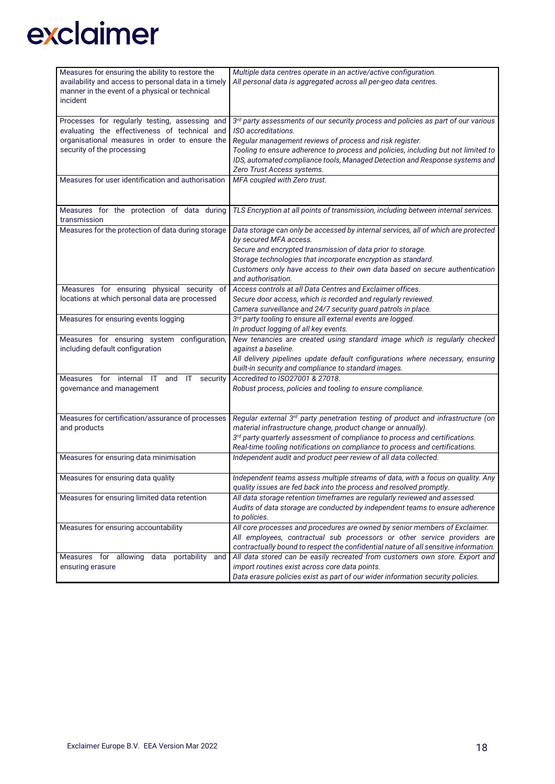| Measures for ensuring the ability to restore the                                     | Multiple data centres operate in an active/active configuration.                                                                                                 |  |  |
|--------------------------------------------------------------------------------------|------------------------------------------------------------------------------------------------------------------------------------------------------------------|--|--|
| availability and access to personal data in a timely                                 | All personal data is aggregated across all per-geo data centres.                                                                                                 |  |  |
| manner in the event of a physical or technical                                       |                                                                                                                                                                  |  |  |
| incident                                                                             |                                                                                                                                                                  |  |  |
|                                                                                      |                                                                                                                                                                  |  |  |
| Processes for regularly testing, assessing and                                       | 3rd party assessments of our security process and policies as part of our various                                                                                |  |  |
| evaluating the effectiveness of technical and                                        | ISO accreditations.                                                                                                                                              |  |  |
|                                                                                      |                                                                                                                                                                  |  |  |
| organisational measures in order to ensure the                                       | Regular management reviews of process and risk register.                                                                                                         |  |  |
| security of the processing                                                           | Tooling to ensure adherence to process and policies, including but not limited to                                                                                |  |  |
|                                                                                      | IDS, automated compliance tools, Managed Detection and Response systems and                                                                                      |  |  |
|                                                                                      | Zero Trust Access systems.                                                                                                                                       |  |  |
| Measures for user identification and authorisation                                   | MFA coupled with Zero trust.                                                                                                                                     |  |  |
|                                                                                      |                                                                                                                                                                  |  |  |
|                                                                                      |                                                                                                                                                                  |  |  |
| Measures for the protection of data during                                           | TLS Encryption at all points of transmission, including between internal services.                                                                               |  |  |
| transmission                                                                         |                                                                                                                                                                  |  |  |
| Measures for the protection of data during storage                                   | Data storage can only be accessed by internal services, all of which are protected                                                                               |  |  |
|                                                                                      | by secured MFA access.                                                                                                                                           |  |  |
|                                                                                      | Secure and encrypted transmission of data prior to storage.                                                                                                      |  |  |
|                                                                                      | Storage technologies that incorporate encryption as standard.                                                                                                    |  |  |
|                                                                                      | Customers only have access to their own data based on secure authentication                                                                                      |  |  |
|                                                                                      | and authorisation.                                                                                                                                               |  |  |
| Measures for ensuring physical security of                                           | Access controls at all Data Centres and Exclaimer offices.                                                                                                       |  |  |
| locations at which personal data are processed                                       | Secure door access, which is recorded and regularly reviewed.                                                                                                    |  |  |
|                                                                                      | Camera surveillance and 24/7 security guard patrols in place.                                                                                                    |  |  |
| Measures for ensuring events logging                                                 | 3rd party tooling to ensure all external events are logged.                                                                                                      |  |  |
|                                                                                      | In product logging of all key events.                                                                                                                            |  |  |
| Measures for ensuring system configuration,                                          | New tenancies are created using standard image which is regularly checked                                                                                        |  |  |
| including default configuration                                                      | against a baseline.                                                                                                                                              |  |  |
|                                                                                      | All delivery pipelines update default configurations where necessary, ensuring                                                                                   |  |  |
|                                                                                      | built-in security and compliance to standard images.                                                                                                             |  |  |
| $\overline{\phantom{a}}$ for<br>internal<br>Measures<br>and<br>IT<br>-IT<br>security | Accredited to ISO27001 & 27018.                                                                                                                                  |  |  |
| governance and management                                                            | Robust process, policies and tooling to ensure compliance.                                                                                                       |  |  |
|                                                                                      |                                                                                                                                                                  |  |  |
|                                                                                      |                                                                                                                                                                  |  |  |
| Measures for certification/assurance of processes                                    | Regular external 3rd party penetration testing of product and infrastructure (on                                                                                 |  |  |
| and products                                                                         | material infrastructure change, product change or annually).                                                                                                     |  |  |
|                                                                                      | 3rd party quarterly assessment of compliance to process and certifications.                                                                                      |  |  |
|                                                                                      | Real-time tooling notifications on compliance to process and certifications.                                                                                     |  |  |
| Measures for ensuring data minimisation                                              | Independent audit and product peer review of all data collected.                                                                                                 |  |  |
|                                                                                      |                                                                                                                                                                  |  |  |
| Measures for ensuring data quality                                                   | Independent teams assess multiple streams of data, with a focus on quality. Any                                                                                  |  |  |
|                                                                                      | quality issues are fed back into the process and resolved promptly.                                                                                              |  |  |
| Measures for ensuring limited data retention                                         | All data storage retention timeframes are regularly reviewed and assessed.                                                                                       |  |  |
|                                                                                      | Audits of data storage are conducted by independent teams to ensure adherence                                                                                    |  |  |
|                                                                                      | to policies.                                                                                                                                                     |  |  |
| Measures for ensuring accountability                                                 | All core processes and procedures are owned by senior members of Exclaimer.                                                                                      |  |  |
|                                                                                      |                                                                                                                                                                  |  |  |
|                                                                                      | All employees, contractual sub processors or other service providers are<br>contractually bound to respect the confidential nature of all sensitive information. |  |  |
| Measures for allowing                                                                | All data stored can be easily recreated from customers own store. Export and                                                                                     |  |  |
| data portability<br>and                                                              | import routines exist across core data points.                                                                                                                   |  |  |
| ensuring erasure                                                                     |                                                                                                                                                                  |  |  |
|                                                                                      | Data erasure policies exist as part of our wider information security policies.                                                                                  |  |  |